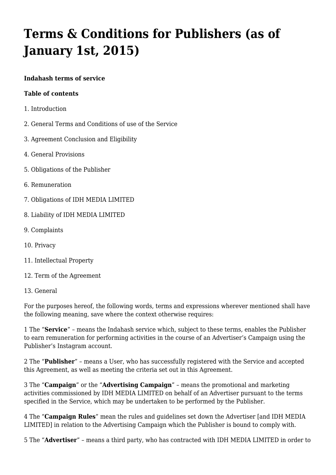# **[Terms & Conditions for Publishers \(as of](https://docs.indahash.com/document/terms-and-conditions-for-publishers-as-of-january-1st-2015/) [January 1st, 2015\)](https://docs.indahash.com/document/terms-and-conditions-for-publishers-as-of-january-1st-2015/)**

#### **Indahash terms of service**

#### **Table of contents**

- 1. Introduction
- 2. General Terms and Conditions of use of the Service
- 3. Agreement Conclusion and Eligibility
- 4. General Provisions
- 5. Obligations of the Publisher
- 6. Remuneration
- 7. Obligations of IDH MEDIA LIMITED
- 8. Liability of IDH MEDIA LIMITED
- 9. Complaints
- 10. Privacy
- 11. Intellectual Property
- 12. Term of the Agreement
- 13. General

For the purposes hereof, the following words, terms and expressions wherever mentioned shall have the following meaning, save where the context otherwise requires:

1 The "**Service**" – means the Indahash service which, subject to these terms, enables the Publisher to earn remuneration for performing activities in the course of an Advertiser's Campaign using the Publisher's Instagram account.

2 The "**Publisher**" – means a User, who has successfully registered with the Service and accepted this Agreement, as well as meeting the criteria set out in this Agreement.

3 The "**Campaign**" or the "**Advertising Campaign**" – means the promotional and marketing activities commissioned by IDH MEDIA LIMITED on behalf of an Advertiser pursuant to the terms specified in the Service, which may be undertaken to be performed by the Publisher.

4 The "**Campaign Rules**" mean the rules and guidelines set down the Advertiser [and IDH MEDIA LIMITED] in relation to the Advertising Campaign which the Publisher is bound to comply with.

5 The "**Advertiser**" – means a third party, who has contracted with IDH MEDIA LIMITED in order to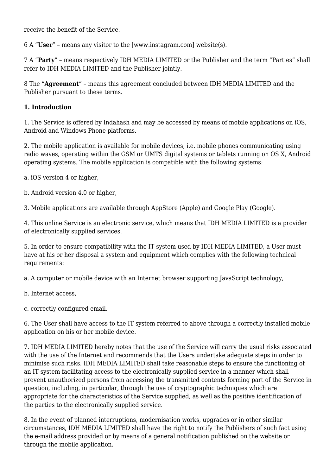receive the benefit of the Service.

6 A "**User**" – means any visitor to the [www.instagram.com] website(s).

7 A "**Party**" – means respectively IDH MEDIA LIMITED or the Publisher and the term "Parties" shall refer to IDH MEDIA LIMITED and the Publisher jointly.

8 The "**Agreement**" – means this agreement concluded between IDH MEDIA LIMITED and the Publisher pursuant to these terms.

#### **1. Introduction**

1. The Service is offered by Indahash and may be accessed by means of mobile applications on iOS, Android and Windows Phone platforms.

2. The mobile application is available for mobile devices, i.e. mobile phones communicating using [radio waves,](http://web.archive.org/web/20160319073842/http://pl.wikipedia.org/wiki/Fale_radiowe) operating within the [GSM](http://web.archive.org/web/20160319073842/http://pl.wikipedia.org/wiki/GSM) or [UMTS](http://web.archive.org/web/20160319073842/http://pl.wikipedia.org/wiki/Universal_Mobile_Telecommunications_System) digital systems or tablets running on OS X, Android operating systems. The mobile application is compatible with the following systems:

a. iOS version 4 or higher,

b. Android version 4.0 or higher,

3. Mobile applications are available through AppStore (Apple) and Google Play (Google).

4. This online Service is an electronic service, which means that IDH MEDIA LIMITED is a provider of electronically supplied services.

5. In order to ensure compatibility with the IT system used by IDH MEDIA LIMITED, a User must have at his or her disposal a system and equipment which complies with the following technical requirements:

a. A computer or mobile device with an Internet browser supporting JavaScript technology,

b. Internet access,

c. correctly configured email.

6. The User shall have access to the IT system referred to above through a correctly installed mobile application on his or her mobile device.

7. IDH MEDIA LIMITED hereby notes that the use of the Service will carry the usual risks associated with the use of the Internet and recommends that the Users undertake adequate steps in order to minimise such risks. IDH MEDIA LIMITED shall take reasonable steps to ensure the functioning of an IT system facilitating access to the electronically supplied service in a manner which shall prevent unauthorized persons from accessing the transmitted contents forming part of the Service in question, including, in particular, through the use of cryptographic techniques which are appropriate for the characteristics of the Service supplied, as well as the positive identification of the parties to the electronically supplied service.

8. In the event of planned interruptions, modernisation works, upgrades or in other similar circumstances, IDH MEDIA LIMITED shall have the right to notify the Publishers of such fact using the e-mail address provided or by means of a general notification published on the website or through the mobile application.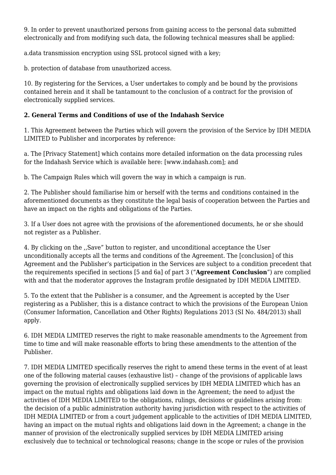9. In order to prevent unauthorized persons from gaining access to the personal data submitted electronically and from modifying such data, the following technical measures shall be applied:

a.data transmission encryption using SSL protocol signed with a key;

b. protection of database from unauthorized access.

10. By registering for the Services, a User undertakes to comply and be bound by the provisions contained herein and it shall be tantamount to the conclusion of a contract for the provision of electronically supplied services.

# **2. General Terms and Conditions of use of the Indahash Service**

1. This Agreement between the Parties which will govern the provision of the Service by IDH MEDIA LIMITED to Publisher and incorporates by reference:

a. The [Privacy Statement] which contains more detailed information on the data processing rules for the Indahash Service which is available here: [www.indahash.com]; and

b. The Campaign Rules which will govern the way in which a campaign is run.

2. The Publisher should familiarise him or herself with the terms and conditions contained in the aforementioned documents as they constitute the legal basis of cooperation between the Parties and have an impact on the rights and obligations of the Parties.

3. If a User does not agree with the provisions of the aforementioned documents, he or she should not register as a Publisher.

4. By clicking on the ,,Save" button to register, and unconditional acceptance the User unconditionally accepts all the terms and conditions of the Agreement. The [conclusion] of this Agreement and the Publisher's participation in the Services are subject to a condition precedent that the requirements specified in sections [5 and 6a] of part 3 ("**Agreement Conclusion**") are complied with and that the moderator approves the Instagram profile designated by IDH MEDIA LIMITED.

5. To the extent that the Publisher is a consumer, and the Agreement is accepted by the User registering as a Publisher, this is a distance contract to which the provisions of the [European Union](http://web.archive.org/web/20160319073842/http://www.irishstatutebook.ie/2013/en/si/0484.html) [\(Consumer Information, Cancellation and Other Rights\) Regulations 2013 \(SI No. 484/2013\)](http://web.archive.org/web/20160319073842/http://www.irishstatutebook.ie/2013/en/si/0484.html) shall apply.

6. IDH MEDIA LIMITED reserves the right to make reasonable amendments to the Agreement from time to time and will make reasonable efforts to bring these amendments to the attention of the Publisher.

7. IDH MEDIA LIMITED specifically reserves the right to amend these terms in the event of at least one of the following material causes (exhaustive list) – change of the provisions of applicable laws governing the provision of electronically supplied services by IDH MEDIA LIMITED which has an impact on the mutual rights and obligations laid down in the Agreement; the need to adjust the activities of IDH MEDIA LIMITED to the obligations, rulings, decisions or guidelines arising from: the decision of a public administration authority having jurisdiction with respect to the activities of IDH MEDIA LIMITED or from a court judgement applicable to the activities of IDH MEDIA LIMITED, having an impact on the mutual rights and obligations laid down in the Agreement; a change in the manner of provision of the electronically supplied services by IDH MEDIA LIMITED arising exclusively due to technical or technological reasons; change in the scope or rules of the provision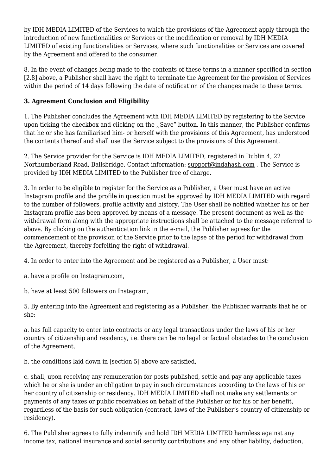by IDH MEDIA LIMITED of the Services to which the provisions of the Agreement apply through the introduction of new functionalities or Services or the modification or removal by IDH MEDIA LIMITED of existing functionalities or Services, where such functionalities or Services are covered by the Agreement and offered to the consumer.

8. In the event of changes being made to the contents of these terms in a manner specified in section [2.8] above, a Publisher shall have the right to terminate the Agreement for the provision of Services within the period of 14 days following the date of notification of the changes made to these terms.

# **3. Agreement Conclusion and Eligibility**

1. The Publisher concludes the Agreement with IDH MEDIA LIMITED by registering to the Service upon ticking the checkbox and clicking on the ,,Save" button. In this manner, the Publisher confirms that he or she has familiarised him- or herself with the provisions of this Agreement, has understood the contents thereof and shall use the Service subject to the provisions of this Agreement.

2. The Service provider for the Service is IDH MEDIA LIMITED, registered in Dublin 4, 22 Northumberland Road, Ballsbridge. Contact information: [support@indahash.com](http://web.archive.org/web/20160319073842/mailto:support@indahash.com) . The Service is provided by IDH MEDIA LIMITED to the Publisher free of charge.

3. In order to be eligible to register for the Service as a Publisher, a User must have an active Instagram profile and the profile in question must be approved by IDH MEDIA LIMITED with regard to the number of followers, profile activity and history. The User shall be notified whether his or her Instagram profile has been approved by means of a message. The present document as well as the withdrawal form along with the appropriate instructions shall be attached to the message referred to above. By clicking on the authentication link in the e-mail, the Publisher agrees for the commencement of the provision of the Service prior to the lapse of the period for withdrawal from the Agreement, thereby forfeiting the right of withdrawal.

4. In order to enter into the Agreement and be registered as a Publisher, a User must:

a. have a profile on Instagram.com,

b. have at least 500 followers on Instagram,

5. By entering into the Agreement and registering as a Publisher, the Publisher warrants that he or she:

a. has full capacity to enter into contracts or any legal transactions under the laws of his or her country of citizenship and residency, i.e. there can be no legal or factual obstacles to the conclusion of the Agreement,

b. the conditions laid down in [section 5] above are satisfied,

c. shall, upon receiving any remuneration for posts published, settle and pay any applicable taxes which he or she is under an obligation to pay in such circumstances according to the laws of his or her country of citizenship or residency. IDH MEDIA LIMITED shall not make any settlements or payments of any taxes or public receivables on behalf of the Publisher or for his or her benefit, regardless of the basis for such obligation (contract, laws of the Publisher's country of citizenship or residency).

6. The Publisher agrees to fully indemnify and hold IDH MEDIA LIMITED harmless against any income tax, national insurance and social security contributions and any other liability, deduction,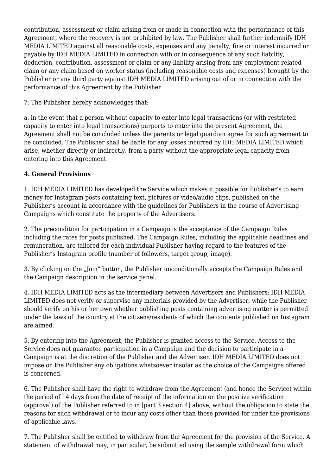contribution, assessment or claim arising from or made in connection with the performance of this Agreement, where the recovery is not prohibited by law. The Publisher shall further indemnify IDH MEDIA LIMITED against all reasonable costs, expenses and any penalty, fine or interest incurred or payable by IDH MEDIA LIMITED in connection with or in consequence of any such liability, deduction, contribution, assessment or claim or any liability arising from any employment-related claim or any claim based on worker status (including reasonable costs and expenses) brought by the Publisher or any third party against IDH MEDIA LIMITED arising out of or in connection with the performance of this Agreement by the Publisher.

## 7. The Publisher hereby acknowledges that:

a. in the event that a person without capacity to enter into legal transactions (or with restricted capacity to enter into legal transactions) purports to enter into the present Agreement, the Agreement shall not be concluded unless the parents or legal guardian agree for such agreement to be concluded. The Publisher shall be liable for any losses incurred by IDH MEDIA LIMITED which arise, whether directly or indirectly, from a party without the appropriate legal capacity from entering into this Agreement.

# **4. General Provisions**

1. IDH MEDIA LIMITED has developed the Service which makes it possible for Publisher's to earn money for Instagram posts containing text, pictures or video/audio clips, published on the Publisher's account in accordance with the guidelines for Publishers in the course of Advertising Campaigns which constitute the property of the Advertisers.

2. The precondition for participation in a Campaign is the acceptance of the Campaign Rules including the rates for posts published. The Campaign Rules, including the applicable deadlines and remuneration, are tailored for each individual Publisher having regard to the features of the Publisher's Instagram profile (number of followers, target group, image).

3. By clicking on the "Join" button, the Publisher unconditionally accepts the Campaign Rules and the Campaign description in the service panel.

4. IDH MEDIA LIMITED acts as the intermediary between Advertisers and Publishers; IDH MEDIA LIMITED does not verify or supervise any materials provided by the Advertiser, while the Publisher should verify on his or her own whether publishing posts containing advertising matter is permitted under the laws of the country at the citizens/residents of which the contents published on Instagram are aimed.

5. By entering into the Agreement, the Publisher is granted access to the Service. Access to the Service does not guarantee participation in a Campaign and the decision to participate in a Campaign is at the discretion of the Publisher and the Advertiser. IDH MEDIA LIMITED does not impose on the Publisher any obligations whatsoever insofar as the choice of the Campaigns offered is concerned.

6. The Publisher shall have the right to withdraw from the Agreement (and hence the Service) within the period of 14 days from the date of receipt of the information on the positive verification (approval) of the Publisher referred to in [part 3 section 4] above, without the obligation to state the reasons for such withdrawal or to incur any costs other than those provided for under the provisions of applicable laws.

7. The Publisher shall be entitled to withdraw from the Agreement for the provision of the Service. A statement of withdrawal may, in particular, be submitted using the sample withdrawal form which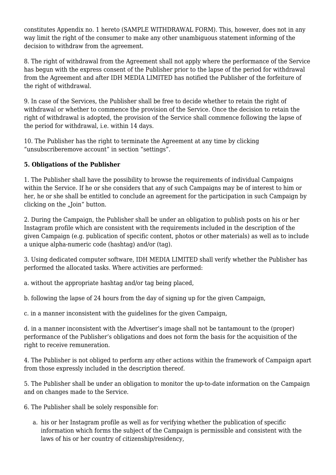constitutes Appendix no. 1 hereto [\(SAMPLE WITHDRAWAL FORM](http://web.archive.org/web/20160319073842/http://www.ravelo.pl/pub/img/2014/formularz_odstapienia_od_umowy.pdf)). This, however, does not in any way limit the right of the consumer to make any other unambiguous statement informing of the decision to withdraw from the agreement.

8. The right of withdrawal from the Agreement shall not apply where the performance of the Service has begun with the express consent of the Publisher prior to the lapse of the period for withdrawal from the Agreement and after IDH MEDIA LIMITED has notified the Publisher of the forfeiture of the right of withdrawal.

9. In case of the Services, the Publisher shall be free to decide whether to retain the right of withdrawal or whether to commence the provision of the Service. Once the decision to retain the right of withdrawal is adopted, the provision of the Service shall commence following the lapse of the period for withdrawal, i.e. within 14 days.

10. The Publisher has the right to terminate the Agreement at any time by clicking "unsubscriberemove account" in section "settings".

# **5. Obligations of the Publisher**

1. The Publisher shall have the possibility to browse the requirements of individual Campaigns within the Service. If he or she considers that any of such Campaigns may be of interest to him or her, he or she shall be entitled to conclude an agreement for the participation in such Campaign by clicking on the  $\sqrt{2}$  Join" button.

2. During the Campaign, the Publisher shall be under an obligation to publish posts on his or her Instagram profile which are consistent with the requirements included in the description of the given Campaign (e.g. publication of specific content, photos or other materials) as well as to include a unique alpha-numeric code (hashtag) and/or (tag).

3. Using dedicated computer software, IDH MEDIA LIMITED shall verify whether the Publisher has performed the allocated tasks. Where activities are performed:

a. without the appropriate hashtag and/or tag being placed,

b. following the lapse of 24 hours from the day of signing up for the given Campaign,

c. in a manner inconsistent with the guidelines for the given Campaign,

d. in a manner inconsistent with the Advertiser's image shall not be tantamount to the (proper) performance of the Publisher's obligations and does not form the basis for the acquisition of the right to receive remuneration.

4. The Publisher is not obliged to perform any other actions within the framework of Campaign apart from those expressly included in the description thereof.

5. The Publisher shall be under an obligation to monitor the up-to-date information on the Campaign and on changes made to the Service.

6. The Publisher shall be solely responsible for:

a. his or her Instagram profile as well as for verifying whether the publication of specific information which forms the subject of the Campaign is permissible and consistent with the laws of his or her country of citizenship/residency,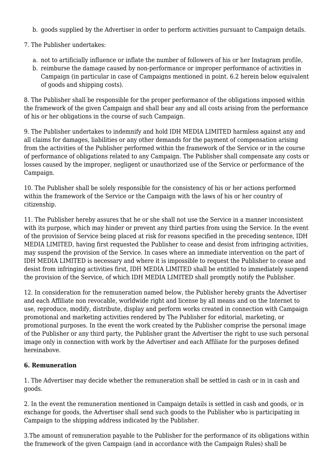- b. goods supplied by the Advertiser in order to perform activities pursuant to Campaign details.
- 7. The Publisher undertakes:
	- a. not to artificially influence or inflate the number of followers of his or her Instagram profile,
	- b. reimburse the damage caused by non-performance or improper performance of activities in Campaign (in particular in case of Campaigns mentioned in point. 6.2 herein below equivalent of goods and shipping costs).

8. The Publisher shall be responsible for the proper performance of the obligations imposed within the framework of the given Campaign and shall bear any and all costs arising from the performance of his or her obligations in the course of such Campaign.

9. The Publisher undertakes to indemnify and hold IDH MEDIA LIMITED harmless against any and all claims for damages, liabilities or any other demands for the payment of compensation arising from the activities of the Publisher performed within the framework of the Service or in the course of performance of obligations related to any Campaign. The Publisher shall compensate any costs or losses caused by the improper, negligent or unauthorized use of the Service or performance of the Campaign.

10. The Publisher shall be solely responsible for the consistency of his or her actions performed within the framework of the Service or the Campaign with the laws of his or her country of citizenship.

11. The Publisher hereby assures that he or she shall not use the Service in a manner inconsistent with its purpose, which may hinder or prevent any third parties from using the Service. In the event of the provision of Service being placed at risk for reasons specified in the preceding sentence, IDH MEDIA LIMITED, having first requested the Publisher to cease and desist from infringing activities, may suspend the provision of the Service. In cases where an immediate intervention on the part of IDH MEDIA LIMITED is necessary and where it is impossible to request the Publisher to cease and desist from infringing activities first, IDH MEDIA LIMITED shall be entitled to immediately suspend the provision of the Service, of which IDH MEDIA LIMITED shall promptly notify the Publisher.

12. In consideration for the remuneration named below, the Publisher hereby grants the Advertiser and each Affiliate non revocable, worldwide right and license by all means and on the Internet to use, reproduce, modify, distribute, display and perform works created in connection with Campaign promotional and marketing activities rendered by The Publisher for editorial, marketing, or promotional purposes. In the event the work created by the Publisher comprise the personal image of the Publisher or any third party, the Publisher grant the Advertiser the right to use such personal image only in connection with work by the Advertiser and each Affiliate for the purposes defined hereinabove.

# **6. Remuneration**

1. The Advertiser may decide whether the remuneration shall be settled in cash or in in cash and goods.

2. In the event the remuneration mentioned in Campaign details is settled in cash and goods, or in exchange for goods, the Advertiser shall send such goods to the Publisher who is participating in Campaign to the shipping address indicated by the Publisher.

3.The amount of remuneration payable to the Publisher for the performance of its obligations within the framework of the given Campaign (and in accordance with the Campaign Rules) shall be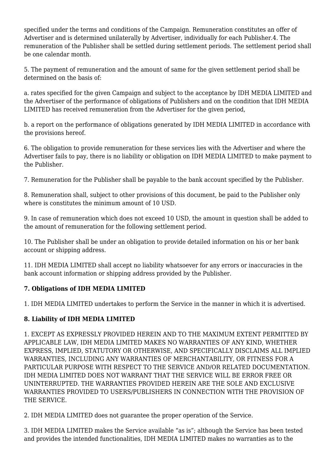specified under the terms and conditions of the Campaign. Remuneration constitutes an offer of Advertiser and is determined unilaterally by Advertiser, individually for each Publisher.4. The remuneration of the Publisher shall be settled during settlement periods. The settlement period shall be one calendar month.

5. The payment of remuneration and the amount of same for the given settlement period shall be determined on the basis of:

a. rates specified for the given Campaign and subject to the acceptance by IDH MEDIA LIMITED and the Advertiser of the performance of obligations of Publishers and on the condition that IDH MEDIA LIMITED has received remuneration from the Advertiser for the given period,

b. a report on the performance of obligations generated by IDH MEDIA LIMITED in accordance with the provisions hereof.

6. The obligation to provide remuneration for these services lies with the Advertiser and where the Advertiser fails to pay, there is no liability or obligation on IDH MEDIA LIMITED to make payment to the Publisher.

7. Remuneration for the Publisher shall be payable to the bank account specified by the Publisher.

8. Remuneration shall, subject to other provisions of this document, be paid to the Publisher only where is constitutes the minimum amount of 10 USD.

9. In case of remuneration which does not exceed 10 USD, the amount in question shall be added to the amount of remuneration for the following settlement period.

10. The Publisher shall be under an obligation to provide detailed information on his or her bank account or shipping address.

11. IDH MEDIA LIMITED shall accept no liability whatsoever for any errors or inaccuracies in the bank account information or shipping address provided by the Publisher.

## **7. Obligations of IDH MEDIA LIMITED**

1. IDH MEDIA LIMITED undertakes to perform the Service in the manner in which it is advertised.

# **8. Liability of IDH MEDIA LIMITED**

1. EXCEPT AS EXPRESSLY PROVIDED HEREIN AND TO THE MAXIMUM EXTENT PERMITTED BY APPLICABLE LAW, IDH MEDIA LIMITED MAKES NO WARRANTIES OF ANY KIND, WHETHER EXPRESS, IMPLIED, STATUTORY OR OTHERWISE, AND SPECIFICALLY DISCLAIMS ALL IMPLIED WARRANTIES, INCLUDING ANY WARRANTIES OF MERCHANTABILITY, OR FITNESS FOR A PARTICULAR PURPOSE WITH RESPECT TO THE SERVICE AND/OR RELATED DOCUMENTATION. IDH MEDIA LIMITED DOES NOT WARRANT THAT THE SERVICE WILL BE ERROR FREE OR UNINTERRUPTED. THE WARRANTIES PROVIDED HEREIN ARE THE SOLE AND EXCLUSIVE WARRANTIES PROVIDED TO USERS/PUBLISHERS IN CONNECTION WITH THE PROVISION OF THE SERVICE.

2. IDH MEDIA LIMITED does not guarantee the proper operation of the Service.

3. IDH MEDIA LIMITED makes the Service available "as is"; although the Service has been tested and provides the intended functionalities, IDH MEDIA LIMITED makes no warranties as to the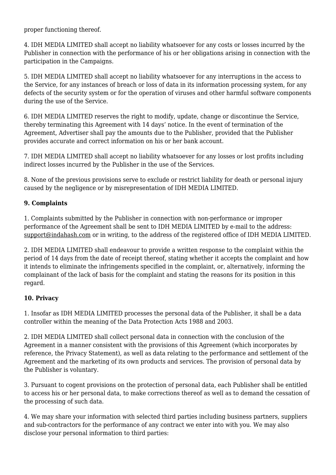proper functioning thereof.

4. IDH MEDIA LIMITED shall accept no liability whatsoever for any costs or losses incurred by the Publisher in connection with the performance of his or her obligations arising in connection with the participation in the Campaigns.

5. IDH MEDIA LIMITED shall accept no liability whatsoever for any interruptions in the access to the Service, for any instances of breach or loss of data in its information processing system, for any defects of the security system or for the operation of viruses and other harmful software components during the use of the Service.

6. IDH MEDIA LIMITED reserves the right to modify, update, change or discontinue the Service, thereby terminating this Agreement with 14 days' notice. In the event of termination of the Agreement, Advertiser shall pay the amounts due to the Publisher, provided that the Publisher provides accurate and correct information on his or her bank account.

7. IDH MEDIA LIMITED shall accept no liability whatsoever for any losses or lost profits including indirect losses incurred by the Publisher in the use of the Services.

8. None of the previous provisions serve to exclude or restrict liability for death or personal injury caused by the negligence or by misrepresentation of IDH MEDIA LIMITED.

# **9. Complaints**

1. Complaints submitted by the Publisher in connection with non-performance or improper performance of the Agreement shall be sent to IDH MEDIA LIMITED by e-mail to the address: [support@indahash.com](http://web.archive.org/web/20160319073842/mailto:support@indahash.com) or in writing, to the address of the registered office of IDH MEDIA LIMITED.

2. IDH MEDIA LIMITED shall endeavour to provide a written response to the complaint within the period of 14 days from the date of receipt thereof, stating whether it accepts the complaint and how it intends to eliminate the infringements specified in the complaint, or, alternatively, informing the complainant of the lack of basis for the complaint and stating the reasons for its position in this regard.

## **10. Privacy**

1. Insofar as IDH MEDIA LIMITED processes the personal data of the Publisher, it shall be a data controller within the meaning of the Data Protection Acts 1988 and 2003.

2. IDH MEDIA LIMITED shall collect personal data in connection with the conclusion of the Agreement in a manner consistent with the provisions of this Agreement (which incorporates by reference, the Privacy Statement), as well as data relating to the performance and settlement of the Agreement and the marketing of its own products and services. The provision of personal data by the Publisher is voluntary.

3. Pursuant to cogent provisions on the protection of personal data, each Publisher shall be entitled to access his or her personal data, to make corrections thereof as well as to demand the cessation of the processing of such data.

4. We may share your information with selected third parties including business partners, suppliers and sub-contractors for the performance of any contract we enter into with you. We may also disclose your personal information to third parties: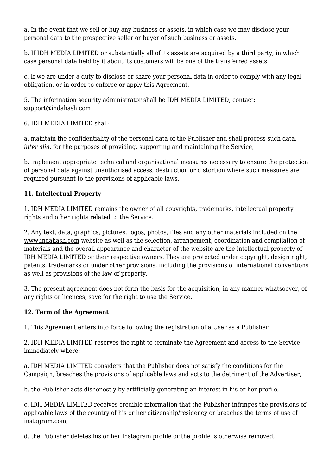a. In the event that we sell or buy any business or assets, in which case we may disclose your personal data to the prospective seller or buyer of such business or assets.

b. If IDH MEDIA LIMITED or substantially all of its assets are acquired by a third party, in which case personal data held by it about its customers will be one of the transferred assets.

c. If we are under a duty to disclose or share your personal data in order to comply with any legal obligation, or in order to enforce or apply this Agreement.

5. The information security administrator shall be IDH MEDIA LIMITED, contact: support@indahash.com

6. IDH MEDIA LIMITED shall:

a. maintain the confidentiality of the personal data of the Publisher and shall process such data, *inter alia*, for the purposes of providing, supporting and maintaining the Service,

b. implement appropriate technical and organisational measures necessary to ensure the protection of personal data against unauthorised access, destruction or distortion where such measures are required pursuant to the provisions of applicable laws.

# **11. Intellectual Property**

1. IDH MEDIA LIMITED remains the owner of all copyrights, trademarks, intellectual property rights and other rights related to the Service.

2. Any text, data, graphics, pictures, logos, photos, files and any other materials included on the [www.indahash.com](http://web.archive.org/web/20160319073842/http://www.indahash.com/) website as well as the selection, arrangement, coordination and compilation of materials and the overall appearance and character of the website are the intellectual property of IDH MEDIA LIMITED or their respective owners. They are protected under copyright, design right, patents, trademarks or under other provisions, including the provisions of international conventions as well as provisions of the law of property.

3. The present agreement does not form the basis for the acquisition, in any manner whatsoever, of any rights or licences, save for the right to use the Service.

# **12. Term of the Agreement**

1. This Agreement enters into force following the registration of a User as a Publisher.

2. IDH MEDIA LIMITED reserves the right to terminate the Agreement and access to the Service immediately where:

a. IDH MEDIA LIMITED considers that the Publisher does not satisfy the conditions for the Campaign, breaches the provisions of applicable laws and acts to the detriment of the Advertiser,

b. the Publisher acts dishonestly by artificially generating an interest in his or her profile,

c. IDH MEDIA LIMITED receives credible information that the Publisher infringes the provisions of applicable laws of the country of his or her citizenship/residency or breaches the terms of use of instagram.com,

d. the Publisher deletes his or her Instagram profile or the profile is otherwise removed,